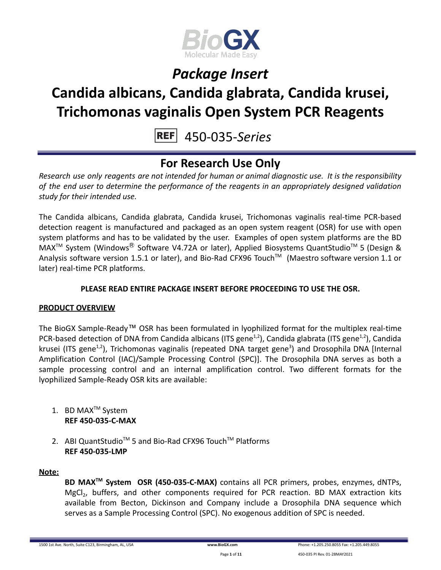

# **Candida albicans, Candida glabrata, Candida krusei, Trichomonas vaginalis Open System PCR Reagents**

450-035-*Series*

### **For Research Use Only**

*Research use only reagents are not intended for human or animal diagnostic use. It is the responsibility of the end user to determine the performance of the reagents in an appropriately designed validation study for their intended use.*

The Candida albicans, Candida glabrata, Candida krusei, Trichomonas vaginalis real-time PCR-based detection reagent is manufactured and packaged as an open system reagent (OSR) for use with open system platforms and has to be validated by the user. Examples of open system platforms are the BD MAX<sup>™</sup> System (Windows<sup>®</sup> Software V4.72A or later), Applied Biosystems QuantStudio<sup>™</sup> 5 (Design & Analysis software version 1.5.1 or later), and Bio-Rad CFX96 Touch™ (Maestro software version 1.1 or later) real-time PCR platforms.

#### **PLEASE READ ENTIRE PACKAGE INSERT BEFORE PROCEEDING TO USE THE OSR.**

#### **PRODUCT OVERVIEW**

The BioGX Sample-Ready™ OSR has been formulated in lyophilized format for the multiplex real-time PCR-based detection of DNA from Candida albicans (ITS gene<sup>1,2</sup>), Candida glabrata (ITS gene<sup>1,2</sup>), Candida krusei (ITS gene<sup>1,2</sup>), Trichomonas vaginalis (repeated DNA target gene<sup>3</sup>) and Drosophila DNA [Internal Amplification Control (IAC)/Sample Processing Control (SPC)]. The Drosophila DNA serves as both a sample processing control and an internal amplification control. Two different formats for the lyophilized Sample-Ready OSR kits are available:

- 1. BD MAX<sup>™</sup> System **REF 450-035-C-MAX**
- 2. ABI QuantStudio<sup>™</sup> 5 and Bio-Rad CFX96 Touch™ Platforms **REF 450-035-LMP**

#### **Note:**

**BD MAXTM System OSR (450-035-C-MAX)** contains all PCR primers, probes, enzymes, dNTPs, MgCl<sub>2</sub>, buffers, and other components required for PCR reaction. BD MAX extraction kits available from Becton, Dickinson and Company include a Drosophila DNA sequence which serves as a Sample Processing Control (SPC). No exogenous addition of SPC is needed.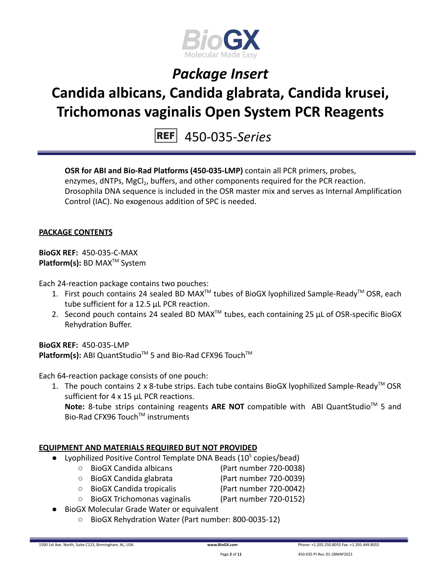

# **Candida albicans, Candida glabrata, Candida krusei, Trichomonas vaginalis Open System PCR Reagents**

450-035-*Series*

**OSR for ABI and Bio-Rad Platforms (450-035-LMP)** contain all PCR primers, probes, enzymes, dNTPs, MgCl<sub>2</sub>, buffers, and other components required for the PCR reaction. Drosophila DNA sequence is included in the OSR master mix and serves as Internal Amplification Control (IAC). No exogenous addition of SPC is needed.

#### **PACKAGE CONTENTS**

**BioGX REF:** 450-035-C-MAX **Platform(s):** BD MAX<sup>™</sup> System

Each 24-reaction package contains two pouches:

- 1. First pouch contains 24 sealed BD MAX<sup>™</sup> tubes of BioGX lyophilized Sample-Ready<sup>™</sup> OSR, each tube sufficient for a 12.5 µL PCR reaction.
- 2. Second pouch contains 24 sealed BD MAX<sup>™</sup> tubes, each containing 25  $\mu$ L of OSR-specific BioGX Rehydration Buffer.

**BioGX REF:** 450-035-LMP Platform(s): ABI QuantStudio<sup>™</sup> 5 and Bio-Rad CFX96 Touch<sup>™</sup>

Each 64-reaction package consists of one pouch:

1. The pouch contains 2 x 8-tube strips. Each tube contains BioGX lyophilized Sample-Ready<sup>™</sup> OSR sufficient for 4 x 15 uL PCR reactions.

Note: 8-tube strips containing reagents ARE NOT compatible with ABI QuantStudio<sup>™</sup> 5 and Bio-Rad CFX96 Touch™ instruments

#### **EQUIPMENT AND MATERIALS REQUIRED BUT NOT PROVIDED**

- Lyophilized Positive Control Template DNA Beads  $(10^5 \text{ copies/head})$ 
	- BioGX Candida albicans (Part number 720-0038)
	- BioGX Candida glabrata (Part number 720-0039)
	- BioGX Candida tropicalis (Part number 720-0042)
	- BioGX Trichomonas vaginalis (Part number 720-0152)
- BioGX Molecular Grade Water or equivalent
	- BioGX Rehydration Water (Part number: 800-0035-12)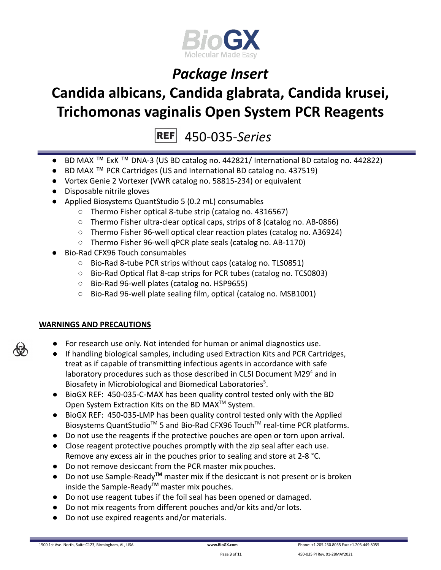

# **Candida albicans, Candida glabrata, Candida krusei, Trichomonas vaginalis Open System PCR Reagents**

450-035-*Series*

- BD MAX ™ ExK ™ DNA-3 (US BD catalog no. 442821/ International BD catalog no. 442822)
- BD MAX ™ PCR Cartridges (US and International BD catalog no. 437519)
- Vortex Genie 2 Vortexer (VWR catalog no. 58815-234) or equivalent
- Disposable nitrile gloves
- Applied Biosystems QuantStudio 5 (0.2 mL) consumables
	- Thermo Fisher optical 8-tube strip (catalog no. 4316567)
	- Thermo Fisher ultra-clear optical caps, strips of 8 (catalog no. AB-0866)
	- Thermo Fisher 96-well optical clear reaction plates (catalog no. A36924)
	- Thermo Fisher 96-well qPCR plate seals (catalog no. AB-1170)
- Bio-Rad CFX96 Touch consumables
	- Bio-Rad 8-tube PCR strips without caps (catalog no. TLS0851)
	- Bio-Rad Optical flat 8-cap strips for PCR tubes (catalog no. TCS0803)
	- Bio-Rad 96-well plates (catalog no. HSP9655)
	- Bio-Rad 96-well plate sealing film, optical (catalog no. MSB1001)

#### **WARNINGS AND PRECAUTIONS**

- For research use only. Not intended for human or animal diagnostics use.
- If handling biological samples, including used Extraction Kits and PCR Cartridges, treat as if capable of transmitting infectious agents in accordance with safe laboratory procedures such as those described in CLSI Document M29 $4$  and in Biosafety in Microbiological and Biomedical Laboratories<sup>5</sup>.
- BioGX REF: 450-035-C-MAX has been quality control tested only with the BD Open System Extraction Kits on the BD MAX<sup>™</sup> System.
- BioGX REF: 450-035-LMP has been quality control tested only with the Applied Biosystems QuantStudio<sup>™</sup> 5 and Bio-Rad CFX96 Touch<sup>™</sup> real-time PCR platforms.
- Do not use the reagents if the protective pouches are open or torn upon arrival.
- Close reagent protective pouches promptly with the zip seal after each use. Remove any excess air in the pouches prior to sealing and store at 2-8 °C.
- Do not remove desiccant from the PCR master mix pouches.
- Do not use Sample-Ready**TM** master mix if the desiccant is not present or is broken inside the Sample-Ready**TM** master mix pouches.
- Do not use reagent tubes if the foil seal has been opened or damaged.
- Do not mix reagents from different pouches and/or kits and/or lots.
- Do not use expired reagents and/or materials.



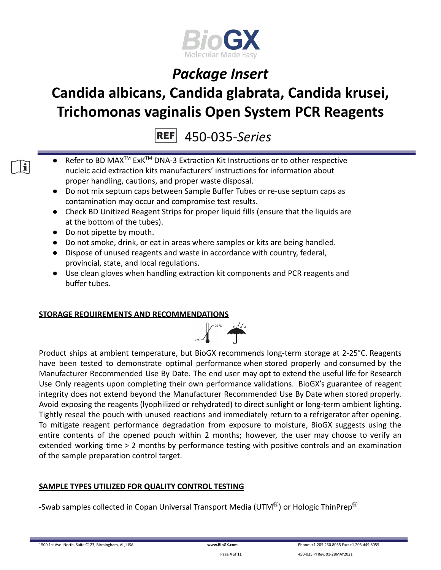

# **Candida albicans, Candida glabrata, Candida krusei, Trichomonas vaginalis Open System PCR Reagents**

450-035-*Series*

- Refer to BD MAX<sup>™</sup> ExK<sup>™</sup> DNA-3 Extraction Kit Instructions or to other respective nucleic acid extraction kits manufacturers' instructions for information about proper handling, cautions, and proper waste disposal.
- Do not mix septum caps between Sample Buffer Tubes or re-use septum caps as contamination may occur and compromise test results.
- Check BD Unitized Reagent Strips for proper liquid fills (ensure that the liquids are at the bottom of the tubes).
- Do not pipette by mouth.
- Do not smoke, drink, or eat in areas where samples or kits are being handled.
- Dispose of unused reagents and waste in accordance with country, federal, provincial, state, and local regulations.
- Use clean gloves when handling extraction kit components and PCR reagents and buffer tubes.

#### **STORAGE REQUIREMENTS AND RECOMMENDATIONS**



Product ships at ambient temperature, but BioGX recommends long-term storage at 2-25°C. Reagents have been tested to demonstrate optimal performance when stored properly and consumed by the Manufacturer Recommended Use By Date. The end user may opt to extend the useful life for Research Use Only reagents upon completing their own performance validations. BioGX's guarantee of reagent integrity does not extend beyond the Manufacturer Recommended Use By Date when stored properly. Avoid exposing the reagents (lyophilized or rehydrated) to direct sunlight or long-term ambient lighting. Tightly reseal the pouch with unused reactions and immediately return to a refrigerator after opening. To mitigate reagent performance degradation from exposure to moisture, BioGX suggests using the entire contents of the opened pouch within 2 months; however, the user may choose to verify an extended working time > 2 months by performance testing with positive controls and an examination of the sample preparation control target.

#### **SAMPLE TYPES UTILIZED FOR QUALITY CONTROL TESTING**

-Swab samples collected in Copan Universal Transport Media (UTM $^{\circledR}$ ) or Hologic ThinPrep $^{\circledR}$ 

 $\mathbf{i}$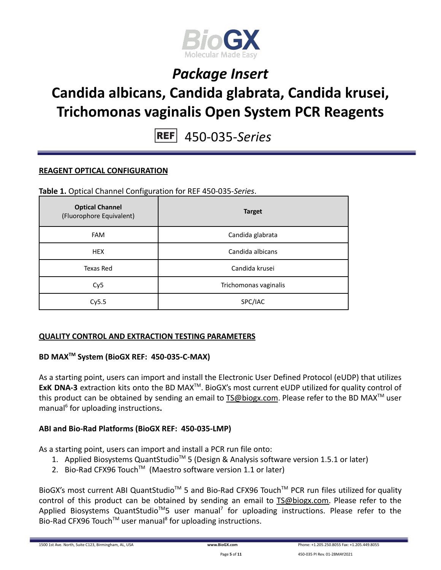

# **Candida albicans, Candida glabrata, Candida krusei, Trichomonas vaginalis Open System PCR Reagents**

450-035-*Series*

#### **REAGENT OPTICAL CONFIGURATION**

**Table 1.** Optical Channel Configuration for REF 450-035-*Series*.

| <b>Optical Channel</b><br>(Fluorophore Equivalent) | <b>Target</b>         |
|----------------------------------------------------|-----------------------|
| <b>FAM</b>                                         | Candida glabrata      |
| <b>HEX</b>                                         | Candida albicans      |
| Texas Red                                          | Candida krusei        |
| Cy <sub>5</sub>                                    | Trichomonas vaginalis |
| Cy5.5                                              | SPC/IAC               |

#### **QUALITY CONTROL AND EXTRACTION TESTING PARAMETERS**

#### **BD MAXTM System (BioGX REF: 450-035-C-MAX)**

As a starting point, users can import and install the Electronic User Defined Protocol (eUDP) that utilizes ExK DNA-3 extraction kits onto the BD MAX<sup>™</sup>. BioGX's most current eUDP utilized for quality control of this product can be obtained by sending an email to [TS@biogx.com](mailto:TS@biogx.com). Please refer to the BD MAX<sup>TM</sup> user manual<sup>6</sup> for uploading instructions**.**

#### **ABI and Bio-Rad Platforms (BioGX REF: 450-035-LMP)**

As a starting point, users can import and install a PCR run file onto:

- 1. Applied Biosystems QuantStudio<sup>™</sup> 5 (Design & Analysis software version 1.5.1 or later)
- 2. Bio-Rad CFX96 Touch<sup>™</sup> (Maestro software version 1.1 or later)

BioGX's most current ABI QuantStudio<sup>™</sup> 5 and Bio-Rad CFX96 Touch<sup>™</sup> PCR run files utilized for quality control of this product can be obtained by sending an email to [TS@biogx.com.](mailto:TS@biogx.com) Please refer to the Applied Biosystems QuantStudio<sup>™</sup>5 user manual<sup>7</sup> for uploading instructions. Please refer to the Bio-Rad CFX96 Touch<sup>™</sup> user manual<sup>8</sup> for uploading instructions.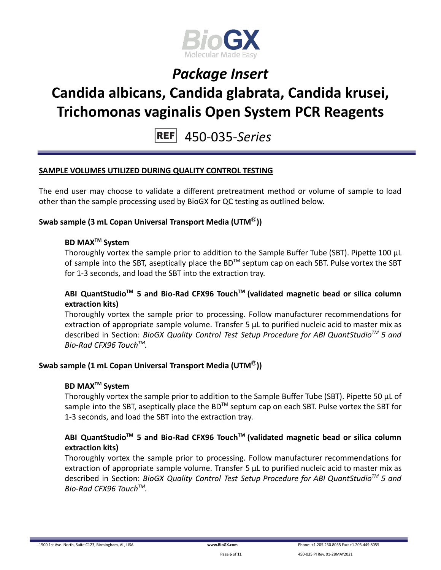

# **Candida albicans, Candida glabrata, Candida krusei, Trichomonas vaginalis Open System PCR Reagents**

450-035-*Series*

#### **SAMPLE VOLUMES UTILIZED DURING QUALITY CONTROL TESTING**

The end user may choose to validate a different pretreatment method or volume of sample to load other than the sample processing used by BioGX for QC testing as outlined below.

#### **Swab sample (3 mL Copan Universal Transport Media (UTM**Ⓡ**))**

#### **BD MAXTM System**

Thoroughly vortex the sample prior to addition to the Sample Buffer Tube (SBT). Pipette 100 μL of sample into the SBT, aseptically place the BD<sup>TM</sup> septum cap on each SBT. Pulse vortex the SBT for 1-3 seconds, and load the SBT into the extraction tray.

#### **ABI QuantStudioTM 5 and Bio-Rad CFX96 TouchTM (validated magnetic bead or silica column extraction kits)**

Thoroughly vortex the sample prior to processing. Follow manufacturer recommendations for extraction of appropriate sample volume. Transfer 5 μL to purified nucleic acid to master mix as described in Section: *BioGX Quality Control Test Setup Procedure for ABI QuantStudioTM 5 and Bio-Rad CFX96 TouchTM .*

#### **Swab sample (1 mL Copan Universal Transport Media (UTM**Ⓡ**))**

#### **BD MAXTM System**

Thoroughly vortex the sample prior to addition to the Sample Buffer Tube (SBT). Pipette 50 μL of sample into the SBT, aseptically place the BD<sup>™</sup> septum cap on each SBT. Pulse vortex the SBT for 1-3 seconds, and load the SBT into the extraction tray.

#### **ABI QuantStudioTM 5 and Bio-Rad CFX96 TouchTM (validated magnetic bead or silica column extraction kits)**

Thoroughly vortex the sample prior to processing. Follow manufacturer recommendations for extraction of appropriate sample volume. Transfer 5 μL to purified nucleic acid to master mix as described in Section: *BioGX Quality Control Test Setup Procedure for ABI QuantStudioTM 5 and Bio-Rad CFX96 TouchTM .*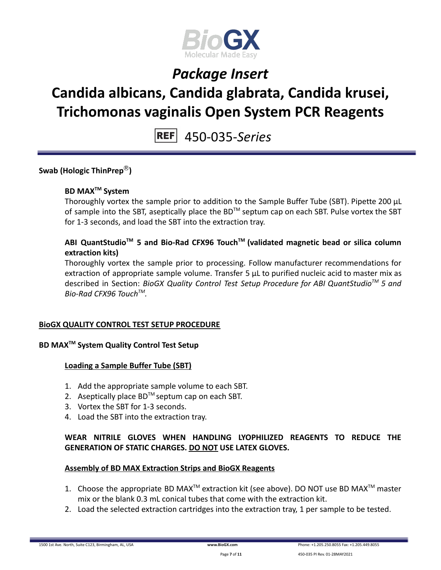

# **Candida albicans, Candida glabrata, Candida krusei, Trichomonas vaginalis Open System PCR Reagents**

450-035-*Series*

**Swab (Hologic ThinPrep**Ⓡ**)**

#### **BD MAXTM System**

Thoroughly vortex the sample prior to addition to the Sample Buffer Tube (SBT). Pipette 200 μL of sample into the SBT, aseptically place the BD<sup>TM</sup> septum cap on each SBT. Pulse vortex the SBT for 1-3 seconds, and load the SBT into the extraction tray.

#### **ABI QuantStudioTM 5 and Bio-Rad CFX96 TouchTM (validated magnetic bead or silica column extraction kits)**

Thoroughly vortex the sample prior to processing. Follow manufacturer recommendations for extraction of appropriate sample volume. Transfer 5 μL to purified nucleic acid to master mix as described in Section: *BioGX Quality Control Test Setup Procedure for ABI QuantStudioTM 5 and Bio-Rad CFX96 TouchTM .*

#### **BioGX QUALITY CONTROL TEST SETUP PROCEDURE**

#### **BD MAXTM System Quality Control Test Setup**

#### **Loading a Sample Buffer Tube (SBT)**

- 1. Add the appropriate sample volume to each SBT.
- 2. Aseptically place  $BD^{TM}$  septum cap on each SBT.
- 3. Vortex the SBT for 1-3 seconds.
- 4. Load the SBT into the extraction tray.

#### **WEAR NITRILE GLOVES WHEN HANDLING LYOPHILIZED REAGENTS TO REDUCE THE GENERATION OF STATIC CHARGES. DO NOT USE LATEX GLOVES.**

#### **Assembly of BD MAX Extraction Strips and BioGX Reagents**

- 1. Choose the appropriate BD MAX<sup>TM</sup> extraction kit (see above). DO NOT use BD MAX<sup>TM</sup> master mix or the blank 0.3 mL conical tubes that come with the extraction kit.
- 2. Load the selected extraction cartridges into the extraction tray, 1 per sample to be tested.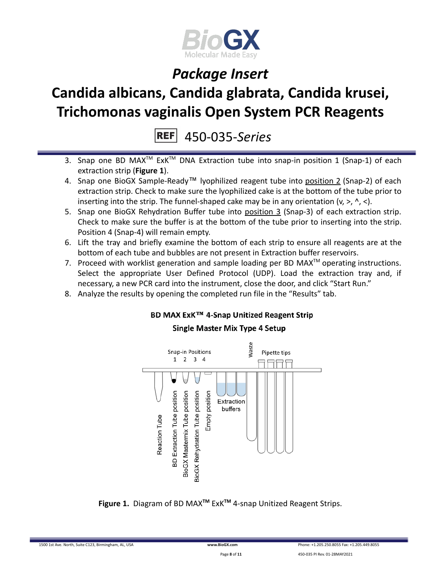

# **Candida albicans, Candida glabrata, Candida krusei, Trichomonas vaginalis Open System PCR Reagents**

450-035-*Series*

- 3. Snap one BD MAX<sup>™</sup> ExK<sup>™</sup> DNA Extraction tube into snap-in position 1 (Snap-1) of each extraction strip (**Figure 1**).
- 4. Snap one BioGX Sample-Ready™ lyophilized reagent tube into position 2 (Snap-2) of each extraction strip. Check to make sure the lyophilized cake is at the bottom of the tube prior to inserting into the strip. The funnel-shaped cake may be in any orientation  $(v, >, \land, <)$ .
- 5. Snap one BioGX Rehydration Buffer tube into position 3 (Snap-3) of each extraction strip. Check to make sure the buffer is at the bottom of the tube prior to inserting into the strip. Position 4 (Snap-4) will remain empty.
- 6. Lift the tray and briefly examine the bottom of each strip to ensure all reagents are at the bottom of each tube and bubbles are not present in Extraction buffer reservoirs.
- 7. Proceed with worklist generation and sample loading per BD MAX $^{TM}$  operating instructions. Select the appropriate User Defined Protocol (UDP). Load the extraction tray and, if necessary, a new PCR card into the instrument, close the door, and click "Start Run."
- 8. Analyze the results by opening the completed run file in the "Results" tab.

#### BD MAX ExK™ 4-Snap Unitized Reagent Strip

#### **Single Master Mix Type 4 Setup**



**Figure 1.** Diagram of BD MAX**TM** ExK**TM** 4-snap Unitized Reagent Strips.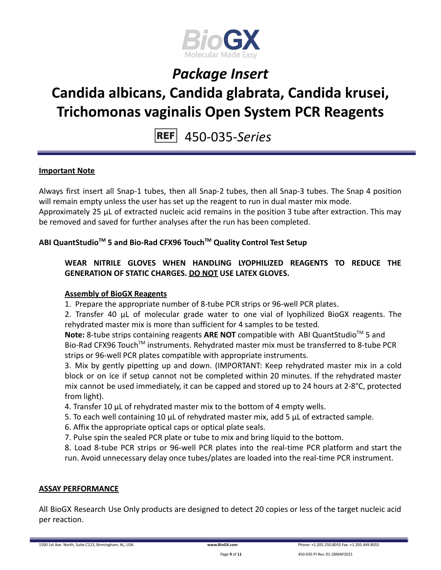

# **Candida albicans, Candida glabrata, Candida krusei, Trichomonas vaginalis Open System PCR Reagents**

450-035-*Series*

#### **Important Note**

Always first insert all Snap-1 tubes, then all Snap-2 tubes, then all Snap-3 tubes. The Snap 4 position will remain empty unless the user has set up the reagent to run in dual master mix mode.

Approximately 25 µL of extracted nucleic acid remains in the position 3 tube after extraction. This may be removed and saved for further analyses after the run has been completed.

#### **ABI QuantStudioTM 5 and Bio-Rad CFX96 TouchTM Quality Control Test Setup**

**WEAR NITRILE GLOVES WHEN HANDLING LYOPHILIZED REAGENTS TO REDUCE THE GENERATION OF STATIC CHARGES. DO NOT USE LATEX GLOVES.**

#### **Assembly of BioGX Reagents**

1. Prepare the appropriate number of 8-tube PCR strips or 96-well PCR plates.

2. Transfer 40 μL of molecular grade water to one vial of lyophilized BioGX reagents. The rehydrated master mix is more than sufficient for 4 samples to be tested.

Note: 8-tube strips containing reagents ARE NOT compatible with ABI QuantStudio<sup>™</sup> 5 and Bio-Rad CFX96 Touch<sup>™</sup> instruments. Rehydrated master mix must be transferred to 8-tube PCR strips or 96-well PCR plates compatible with appropriate instruments.

3. Mix by gently pipetting up and down. (IMPORTANT: Keep rehydrated master mix in a cold block or on ice if setup cannot not be completed within 20 minutes. If the rehydrated master mix cannot be used immediately, it can be capped and stored up to 24 hours at 2-8°C, protected from light).

- 4. Transfer 10 μL of rehydrated master mix to the bottom of 4 empty wells.
- 5. To each well containing 10 μL of rehydrated master mix, add 5 μL of extracted sample.
- 6. Affix the appropriate optical caps or optical plate seals.
- 7. Pulse spin the sealed PCR plate or tube to mix and bring liquid to the bottom.
- 8. Load 8-tube PCR strips or 96-well PCR plates into the real-time PCR platform and start the run. Avoid unnecessary delay once tubes/plates are loaded into the real-time PCR instrument.

#### **ASSAY PERFORMANCE**

All BioGX Research Use Only products are designed to detect 20 copies or less of the target nucleic acid per reaction.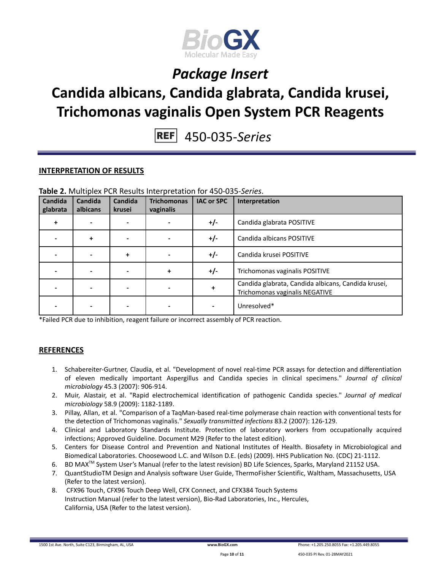

# **Candida albicans, Candida glabrata, Candida krusei, Trichomonas vaginalis Open System PCR Reagents**

450-035-*Series*

#### **INTERPRETATION OF RESULTS**

| Candida<br>glabrata | Candida<br>albicans | Candida<br>krusei | <b>Trichomonas</b><br>vaginalis | <b>IAC or SPC</b> | Interpretation                                                                        |
|---------------------|---------------------|-------------------|---------------------------------|-------------------|---------------------------------------------------------------------------------------|
| +                   |                     |                   |                                 | $+/-$             | Candida glabrata POSITIVE                                                             |
|                     | $\ddot{}$           |                   |                                 | $+/-$             | Candida albicans POSITIVE                                                             |
|                     |                     | +                 |                                 | +/-               | Candida krusei POSITIVE                                                               |
|                     |                     |                   | $\ddotmark$                     | +/-               | Trichomonas vaginalis POSITIVE                                                        |
|                     |                     |                   |                                 | +                 | Candida glabrata, Candida albicans, Candida krusei,<br>Trichomonas vaginalis NEGATIVE |
|                     |                     |                   |                                 |                   | Unresolved*                                                                           |

**Table 2.** Multiplex PCR Results Interpretation for 450-035-*Series*.

\*Failed PCR due to inhibition, reagent failure or incorrect assembly of PCR reaction.

#### **REFERENCES**

- 1. Schabereiter-Gurtner, Claudia, et al. "Development of novel real-time PCR assays for detection and differentiation of eleven medically important Aspergillus and Candida species in clinical specimens." *Journal of clinical microbiology* 45.3 (2007): 906-914.
- 2. Muir, Alastair, et al. "Rapid electrochemical identification of pathogenic Candida species." *Journal of medical microbiology* 58.9 (2009): 1182-1189.
- 3. Pillay, Allan, et al. "Comparison of a TaqMan-based real-time polymerase chain reaction with conventional tests for the detection of Trichomonas vaginalis." *Sexually transmitted infections* 83.2 (2007): 126-129.
- 4. Clinical and Laboratory Standards Institute. Protection of laboratory workers from occupationally acquired infections; Approved Guideline. Document M29 (Refer to the latest edition).
- 5. Centers for Disease Control and Prevention and National Institutes of Health. Biosafety in Microbiological and Biomedical Laboratories. Choosewood L.C. and Wilson D.E. (eds) (2009). HHS Publication No. (CDC) 21-1112.
- 6. BD MAX<sup>™</sup> System User's Manual (refer to the latest revision) BD Life Sciences, Sparks, Maryland 21152 USA.
- 7. QuantStudioTM Design and Analysis software User Guide, ThermoFisher Scientific, Waltham, Massachusetts, USA (Refer to the latest version).
- 8. CFX96 Touch, CFX96 Touch Deep Well, CFX Connect, and CFX384 Touch Systems Instruction Manual (refer to the latest version), Bio-Rad Laboratories, Inc., Hercules, California, USA (Refer to the latest version).